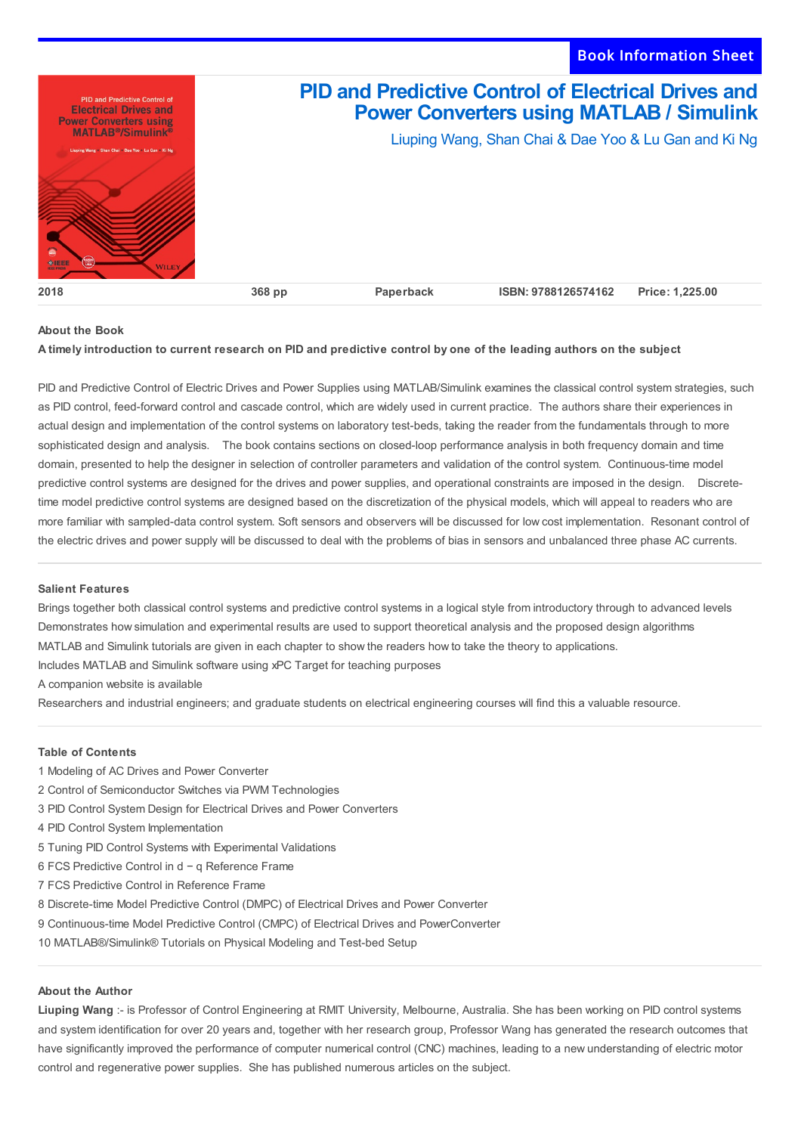

# **About the Book**

## A timely introduction to current research on PID and predictive control by one of the leading authors on the subject

PID and Predictive Control of Electric Drives and Power Supplies using MATLAB/Simulink examines the classical control system strategies, such as PID control, feed-forward control and cascade control, which are widely used in current practice. The authors share their experiences in actual design and implementation of the control systems on laboratory test-beds, taking the reader from the fundamentals through to more sophisticated design and analysis. The book contains sections on closed-loop performance analysis in both frequency domain and time domain, presented to help the designer in selection of controller parameters and validation of the control system. Continuous-time model predictive control systems are designed for the drives and power supplies, and operational constraints are imposed in the design. Discretetime model predictive control systems are designed based on the discretization of the physical models, which will appeal to readers who are more familiar with sampled-data control system. Soft sensors and observers will be discussed for low cost implementation. Resonant control of the electric drives and power supply will be discussed to deal with the problems of bias in sensors and unbalanced three phase AC currents.

#### **Salient Features**

Brings together both classical control systems and predictive control systems in a logical style from introductory through to advanced levels Demonstrates how simulation and experimental results are used to support theoretical analysis and the proposed design algorithms MATLAB and Simulink tutorials are given in each chapter to show the readers how to take the theory to applications. Includes MATLAB and Simulink software using xPC Target for teaching purposes

A companion website is available

Researchers and industrial engineers; and graduate students on electrical engineering courses will find this a valuable resource.

### **Table of Contents**

- 1 Modeling of AC Drives and Power Converter
- 2 Control of Semiconductor Switches via PWM Technologies
- 3 PID Control System Design for Electrical Drives and Power Converters
- 4 PID Control System Implementation
- 5 Tuning PID Control Systems with Experimental Validations
- 6 FCS Predictive Control in d − q Reference Frame
- 7 FCS Predictive Control in Reference Frame
- 8 Discrete-time Model Predictive Control (DMPC) of Electrical Drives and Power Converter
- 9 Continuous-time Model Predictive Control (CMPC) of Electrical Drives and PowerConverter
- 10 MATLAB®/Simulink® Tutorials on Physical Modeling and Test-bed Setup

#### **About the Author**

**Liuping Wang** :- is Professor of Control Engineering at RMIT University, Melbourne, Australia. She has been working on PID control systems and system identification for over 20 years and, together with her research group, Professor Wang has generated the research outcomes that have significantly improved the performance of computer numerical control (CNC) machines, leading to a new understanding of electric motor control and regenerative power supplies. She has published numerous articles on the subject.